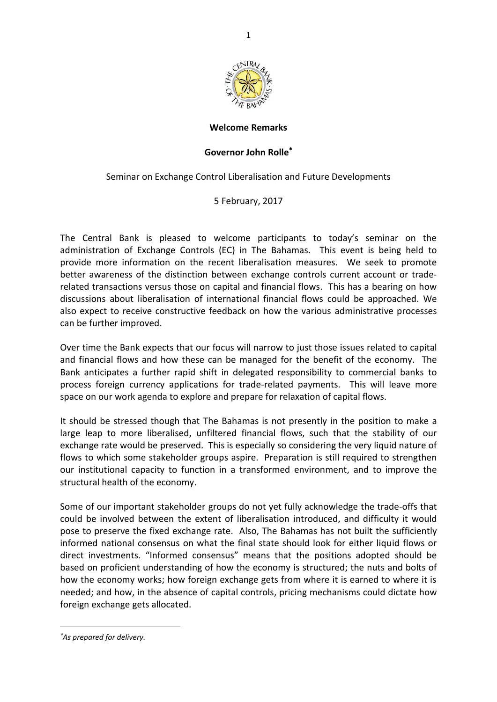

## **Welcome Remarks**

## **Governor John Rolle**

Seminar on Exchange Control Liberalisation and Future Developments

5 February, 2017

The Central Bank is pleased to welcome participants to today's seminar on the administration of Exchange Controls (EC) in The Bahamas. This event is being held to provide more information on the recent liberalisation measures. We seek to promote better awareness of the distinction between exchange controls current account or traderelated transactions versus those on capital and financial flows. This has a bearing on how discussions about liberalisation of international financial flows could be approached. We also expect to receive constructive feedback on how the various administrative processes can be further improved.

Over time the Bank expects that our focus will narrow to just those issues related to capital and financial flows and how these can be managed for the benefit of the economy. The Bank anticipates a further rapid shift in delegated responsibility to commercial banks to process foreign currency applications for trade-related payments. This will leave more space on our work agenda to explore and prepare for relaxation of capital flows.

It should be stressed though that The Bahamas is not presently in the position to make a large leap to more liberalised, unfiltered financial flows, such that the stability of our exchange rate would be preserved. This is especially so considering the very liquid nature of flows to which some stakeholder groups aspire. Preparation is still required to strengthen our institutional capacity to function in a transformed environment, and to improve the structural health of the economy.

Some of our important stakeholder groups do not yet fully acknowledge the trade-offs that could be involved between the extent of liberalisation introduced, and difficulty it would pose to preserve the fixed exchange rate. Also, The Bahamas has not built the sufficiently informed national consensus on what the final state should look for either liquid flows or direct investments. "Informed consensus" means that the positions adopted should be based on proficient understanding of how the economy is structured; the nuts and bolts of how the economy works; how foreign exchange gets from where it is earned to where it is needed; and how, in the absence of capital controls, pricing mechanisms could dictate how foreign exchange gets allocated.

 $\overline{\phantom{a}}$ 

*As prepared for delivery.*